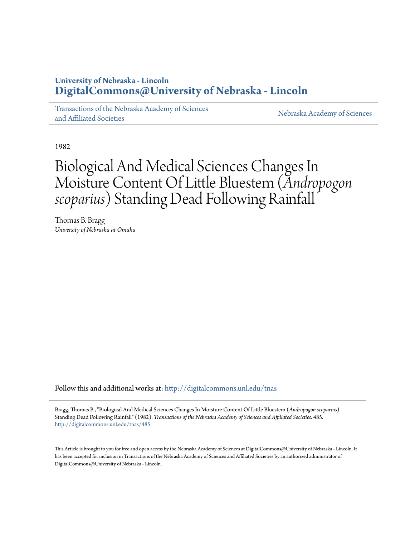## **University of Nebraska - Lincoln [DigitalCommons@University of Nebraska - Lincoln](http://digitalcommons.unl.edu?utm_source=digitalcommons.unl.edu%2Ftnas%2F485&utm_medium=PDF&utm_campaign=PDFCoverPages)**

[Transactions of the Nebraska Academy of Sciences](http://digitalcommons.unl.edu/tnas?utm_source=digitalcommons.unl.edu%2Ftnas%2F485&utm_medium=PDF&utm_campaign=PDFCoverPages) [and Affiliated Societies](http://digitalcommons.unl.edu/tnas?utm_source=digitalcommons.unl.edu%2Ftnas%2F485&utm_medium=PDF&utm_campaign=PDFCoverPages)

[Nebraska Academy of Sciences](http://digitalcommons.unl.edu/nebacadsci?utm_source=digitalcommons.unl.edu%2Ftnas%2F485&utm_medium=PDF&utm_campaign=PDFCoverPages)

1982

# Biological And Medical Sciences Changes In Moisture Content Of Little Bluestem (*Andropogon scoparius*) Standing Dead Following Rainfall

Thomas B. Bragg *University of Nebraska at Omaha*

Follow this and additional works at: [http://digitalcommons.unl.edu/tnas](http://digitalcommons.unl.edu/tnas?utm_source=digitalcommons.unl.edu%2Ftnas%2F485&utm_medium=PDF&utm_campaign=PDFCoverPages)

Bragg, Thomas B., "Biological And Medical Sciences Changes In Moisture Content Of Little Bluestem (*Andropogon scoparius*) Standing Dead Following Rainfall" (1982). *Transactions of the Nebraska Academy of Sciences and Affiliated Societies*. 485. [http://digitalcommons.unl.edu/tnas/485](http://digitalcommons.unl.edu/tnas/485?utm_source=digitalcommons.unl.edu%2Ftnas%2F485&utm_medium=PDF&utm_campaign=PDFCoverPages)

This Article is brought to you for free and open access by the Nebraska Academy of Sciences at DigitalCommons@University of Nebraska - Lincoln. It has been accepted for inclusion in Transactions of the Nebraska Academy of Sciences and Affiliated Societies by an authorized administrator of DigitalCommons@University of Nebraska - Lincoln.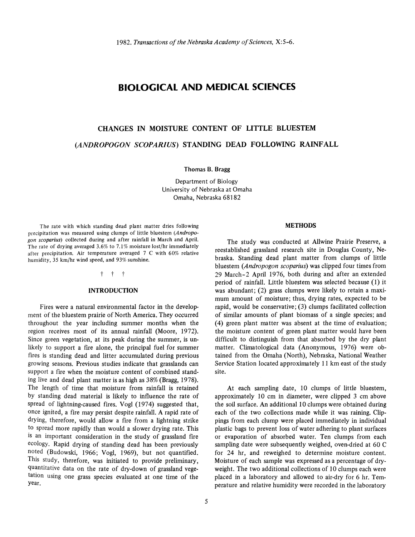### **BIOLOGICAL AND MEDICAL SCIENCES**

## **CHANGES IN MOISTURE CONTENT OF LITTLE BLUESTEM**  *(ANDROPOGON SCOPARIUS)* **STANDING DEAD FOLLOWING RAINFALL**

Thomas B. Bragg

Department of Biology University of Nebraska at Omaha Omaha, Nebraska 68182

The rate with which standing dead plant matter dries following precipitation was measured using clumps of little bluestem (Andropogon scoparius) collected during and after rainfall in March and April. The rate of drying averaged 3.6% to 7.1% moisture lost/hr immediately after precipitation. Air temperature averaged 7 C with 60% relative humidity, 35 km/hr wind speed, and 93% sunshine.

#### t t t

#### **INTRODUCTION**

Fires were a natural environmental factor in the development of the bluestem prairie of North America. They occurred throughout the year including summer months when the region receives most of its annual rainfall (Moore, 1972). Since green vegetation, at its peak during the summer, is unlikely to support a fire alone, the principal fuel for summer fires is standing dead and litter accumulated during previous growing seasons. Previous studies indicate that grasslands can support a fire when the moisture content of combined standing live and dead plant matter is as high as 38% (Bragg, 1978). The length of time that moisture from rainfall is retained by standing dead material is likely to influence the rate of spread of lightning-caused fires. Vogl (1974) suggested that, once ignited, a fire may persist despite rainfall. A rapid rate of drying, therefore, would allow a fire from a lightning strike to spread more rapidly than would a slower drying rate. This is an important consideration in the study of grassland fire ecology. Rapid drying of standing dead has been previously noted (Budowski, 1966; Vogl, 1969), but not quantified. This study, therefore, was initiated to provide preliminary, quantitative data on the rate of dry-down of grassland vegetation using one grass species evaluated at one time of the year.

#### **METHODS**

The study was conducted at Allwine Prairie Preserve, a reestablished grassland research site in Douglas County, Nebraska. Standing dead plant matter from clumps of little bluestem (Andropogon scoparius) was clipped four times from 29 March-2 April 1976, both during and after an extended period of rainfall. Little bluestem was selected because (1) it was abundant; (2) grass clumps were likely to retain a maximum amount of moisture; thus, drying rates, expected to be rapid, would be conservative; (3) clumps facilitated collection of similar amounts of plant biomass of a single species; and (4) green plant matter was absent at the time of evaluation; the moisture content of green plant matter would have been difficult to distinguish from that absorbed by the dry plant matter. Climatological data (Anonymous, 1976) were obtained from the Omaha (North), Nebraska, National Weather Service Station located approximately 11 km east of the study site.

At each sampling date, 10 clumps of little bluestem, approximately 10 cm in diameter, were clipped 3 cm above the soil surface. An additional 10 clumps were obtained during each of the two collections made while it was raining. Clippings from each clump were placed immediately in individual plastic bags to prevent loss of water adhering to plant surfaces or evaporation of absorbed water. Ten clumps from each sampling date were subsequently weighed, oven-dried at 60 C for 24 hr, and reweighed to determine moisture content. Moisture of each sample was expressed as a percentage of dryweight. The two additional collections of 10 clumps each were placed in a laboratory and allowed to air-dry for 6 hr. Temperature and relative humidity were recorded in the laboratory